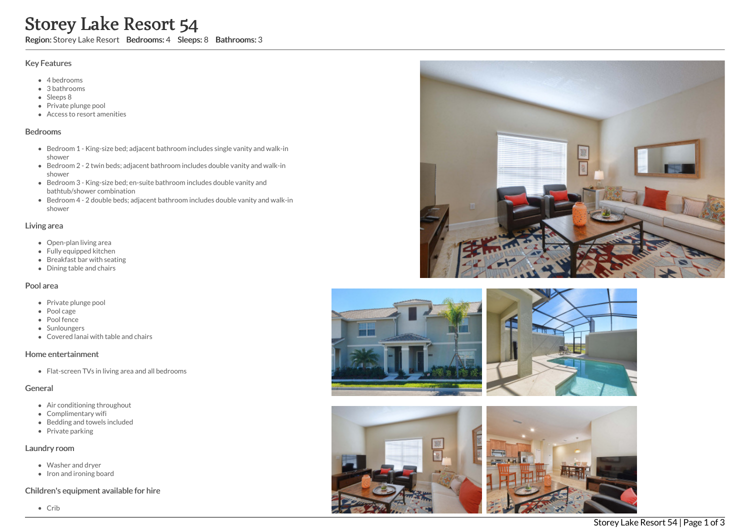# Storey Lake Resort 54

Region: Storey Lake Resort Bedrooms: 4 Sleeps: 8 Bathrooms: 3

## Key Features

- 4 b e d r o o m s
- 3 b a t h r o o m s
- Sleeps 8
- Private plunge pool
- Access to resort amenities

#### **Bedrooms**

- Bedroom 1 King-size bed; adjacent bathroom includes single vanity and walk-in s h o w e r
- Bedroom 2 2 twin beds; adjacent bathroom includes double vanity and walk-in s h o w e r
- Bedroom 3 King-size bed; en-suite bathroom includes double vanity and bathtub/shower combination
- Bedroom 4 2 double beds; adjacent bathroom includes double vanity and walk-in s h o w e r

## Living area

- Open-plan living area
- Fully equipped kitchen
- Breakfast bar with seating
- Dining table and chairs

## Pool area

- Private plunge pool
- Pool cage
- Pool fence
- Sunloungers
- Covered lanai with table and chairs

## Home entertainment

Flat-screen TVs in living area and all bedrooms

# General

- Air conditioning throughout
- Complimentary wifi
- Bedding and towels in clu d e d
- Private parking

## Laundry room

- Washer and dryer
- Iron and ironing board

## Children's equipment available for hire







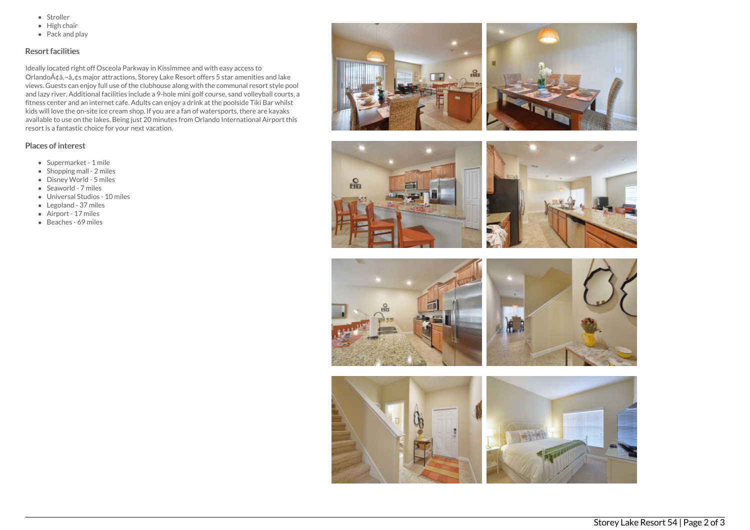- Stroller
- $\bullet$  High chair
- Pack and play

# Resort facilities

Ideally located right off Osceola Parkway in Kissimmee and with easy access to Orlando $\tilde{A}$ ¢â,¬â, $\tilde{g}$ s major attractions, Storey Lake Resort offers 5 star amenities and lake views. Guests can enjoy full use of the clubhouse along with the communal resort style pool and lazy river. Additional facilities include a 9-hole mini golf course, sand volleyball courts, a fitness center and an internet cafe. Adults can enjoy a drink at the poolside Tiki Bar whilst kids will love the on-site ice cream shop. If you are a fan of watersports, there are kayaks available to use on the lakes. Being just 20 minutes from Orlando International Airport this resort is a fantastic choice for your next vacation.

#### Places of interest

- Supermarket 1 mile
- $\bullet$  Shopping mall 2 miles
- Disney World 5 miles
- Seaworld 7 miles
- Universal Studios 10 miles
- Legoland 37 miles
- Airport 17 miles
- Beaches 69 miles